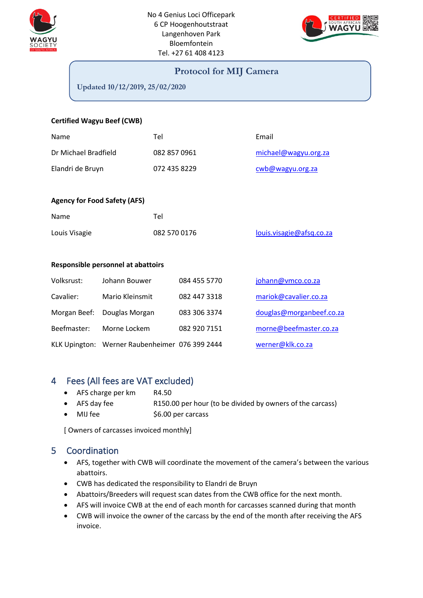



### **Protocol for MIJ Camera**

**Updated 10/12/2019, 25/02/2020**

#### **Certified Wagyu Beef (CWB)**

| Name                 | Tel          | Email                |
|----------------------|--------------|----------------------|
| Dr Michael Bradfield | 082 857 0961 | michael@wagyu.org.za |
| Elandri de Bruyn     | 072 435 8229 | cwb@wagyu.org.za     |

#### **Agency for Food Safety (AFS)**

| Name          | Tel          |                          |
|---------------|--------------|--------------------------|
| Louis Visagie | 082 570 0176 | louis.visagie@afsq.co.za |

#### **Responsible personnel at abattoirs**

| Volksrust:  | Johann Bouwer                                  | 084 455 5770 | johann@vmco.co.za        |
|-------------|------------------------------------------------|--------------|--------------------------|
| Cavalier:   | Mario Kleinsmit                                | 082 447 3318 | mariok@cavalier.co.za    |
|             | Morgan Beef: Douglas Morgan                    | 083 306 3374 | douglas@morganbeef.co.za |
| Beefmaster: | Morne Lockem                                   | 082 920 7151 | morne@beefmaster.co.za   |
|             | KLK Upington: Werner Raubenheimer 076 399 2444 |              | werner@klk.co.za         |

## 4 Fees (All fees are VAT excluded)

- AFS charge per km R4.50
- AFS day fee R150.00 per hour (to be divided by owners of the carcass)
- MIJ fee  $$6.00$  per carcass

[ Owners of carcasses invoiced monthly]

### 5 Coordination

- AFS, together with CWB will coordinate the movement of the camera's between the various abattoirs.
- CWB has dedicated the responsibility to Elandri de Bruyn
- Abattoirs/Breeders will request scan dates from the CWB office for the next month.
- AFS will invoice CWB at the end of each month for carcasses scanned during that month
- CWB will invoice the owner of the carcass by the end of the month after receiving the AFS invoice.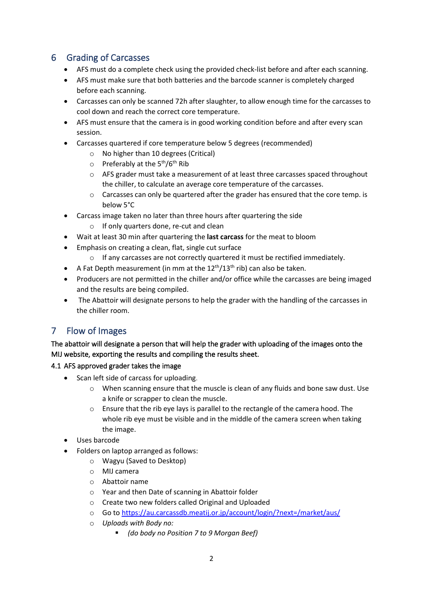# 6 Grading of Carcasses

- AFS must do a complete check using the provided check-list before and after each scanning.
- AFS must make sure that both batteries and the barcode scanner is completely charged before each scanning.
- Carcasses can only be scanned 72h after slaughter, to allow enough time for the carcasses to cool down and reach the correct core temperature.
- AFS must ensure that the camera is in good working condition before and after every scan session.
- Carcasses quartered if core temperature below 5 degrees (recommended)
	- o No higher than 10 degrees (Critical)
	- o Preferably at the 5<sup>th</sup>/6<sup>th</sup> Rib
	- o AFS grader must take a measurement of at least three carcasses spaced throughout the chiller, to calculate an average core temperature of the carcasses.
	- $\circ$  Carcasses can only be quartered after the grader has ensured that the core temp. is below 5°C
- Carcass image taken no later than three hours after quartering the side
	- o If only quarters done, re-cut and clean
- Wait at least 30 min after quartering the **last carcass** for the meat to bloom
- Emphasis on creating a clean, flat, single cut surface
	- o If any carcasses are not correctly quartered it must be rectified immediately.
- A Fat Depth measurement (in mm at the  $12^{th}/13^{th}$  rib) can also be taken.
- Producers are not permitted in the chiller and/or office while the carcasses are being imaged and the results are being compiled.
- The Abattoir will designate persons to help the grader with the handling of the carcasses in the chiller room.

# 7 Flow of Images

The abattoir will designate a person that will help the grader with uploading of the images onto the MIJ website, exporting the results and compiling the results sheet.

### 4.1 AFS approved grader takes the image

- Scan left side of carcass for uploading.
	- o When scanning ensure that the muscle is clean of any fluids and bone saw dust. Use a knife or scrapper to clean the muscle.
	- o Ensure that the rib eye lays is parallel to the rectangle of the camera hood. The whole rib eye must be visible and in the middle of the camera screen when taking the image.
- Uses barcode
- Folders on laptop arranged as follows:
	- o Wagyu (Saved to Desktop)
	- o MIJ camera
	- o Abattoir name
	- o Year and then Date of scanning in Abattoir folder
	- o Create two new folders called Original and Uploaded
	- o Go to<https://au.carcassdb.meatij.or.jp/account/login/?next=/market/aus/>
	- o *Uploads with Body no:*
		- *(do body no Position 7 to 9 Morgan Beef)*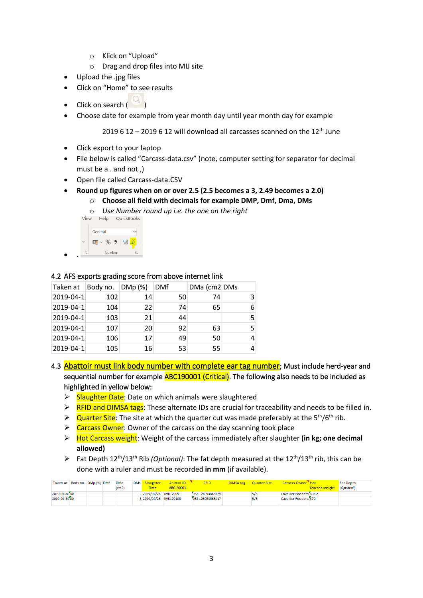- o Klick on "Upload"
- o Drag and drop files into MIJ site
- Upload the .jpg files
- Click on "Home" to see results
- $\bullet$  Click on search (
- Choose date for example from year month day until year month day for example

2019 6 12 – 2019 6 12 will download all carcasses scanned on the  $12<sup>th</sup>$  June

- Click export to your laptop
- File below is called "Carcass-data.csv" (note, computer setting for separator for decimal must be a . and not ,)
- Open file called Carcass-data.CSV
- **Round up figures when on or over 2.5 (2.5 becomes a 3, 2.49 becomes a 2.0)**
	- o **Choose all field with decimals for example DMP, Dmf, Dma, DMs**
	- o *Use Number round up i.e. the one on the right*

| View            | Help      | QuickBooks                                    |
|-----------------|-----------|-----------------------------------------------|
|                 | General   |                                               |
| $\checkmark$    | lig ~ % 9 | $\begin{array}{c} 60 \\ 60 \\ 20 \end{array}$ |
| $\overline{13}$ | Number    | Гs.                                           |

#### 4.2 AFS exports grading score from above internet link

| Taken at  | Body no. $ DMp(\%)$ |    | <b>DMf</b> | DMa (cm2 DMs |   |
|-----------|---------------------|----|------------|--------------|---|
| 2019-04-1 | 102                 | 14 | 50         | 74           | 3 |
| 2019-04-1 | 104                 | 22 | 74         | 65           |   |
| 2019-04-1 | 103                 | 21 | 44         |              | 5 |
| 2019-04-1 | 107                 | 20 | 92         | 63           |   |
| 2019-04-1 | 106                 | 17 | 49         | 50           |   |
| 2019-04-1 | 105                 | 16 | 53         | 55           |   |

- 4.3 Abattoir must link body number with complete ear tag number; Must include herd-year and sequential number for example **ABC190001 (Critical)**. The following also needs to be included as highlighted in yellow below:
	- ▶ Slaughter Date: Date on which animals were slaughtered
	- $\triangleright$  RFID and DIMSA tags: These alternate IDs are crucial for traceability and needs to be filled in.
	- $\triangleright$  Quarter Site: The site at which the quarter cut was made preferably at the 5<sup>th</sup>/6<sup>th</sup> rib.
	- ➢ Carcass Owner: Owner of the carcass on the day scanning took place
	- ➢ Hot Carcass weight: Weight of the carcass immediately after slaughter **(in kg; one decimal allowed)**
	- ➢ Fat Depth 12th/13th Rib *(Optional)*: The fat depth measured at the 12th/13th rib, this can be done with a ruler and must be recorded **in mm** (if available).

|               | Taken at   Body no.   DMp (%)   DMf |  | <b>DMa</b> | DMs Slaughter          | Animal ID | <b>RFID</b>      | <b>DIMSA tag Quarter Site</b> | Carcass Owner "Hot     |                           | Fat Depth |
|---------------|-------------------------------------|--|------------|------------------------|-----------|------------------|-------------------------------|------------------------|---------------------------|-----------|
|               |                                     |  | (cm2)      | Date <sup>-</sup>      | ABC190001 |                  |                               |                        | Carcass weight (Optional) |           |
| 2019-04-30 30 |                                     |  |            | 2 2019/04/26 RVK170051 |           | 982 126053866429 | 5/6                           | Cavalier Feeders 398.2 |                           |           |
| 2019-04-30 00 |                                     |  |            | 3 2019/04/26 RVK170108 |           | 982 126053866417 | 5/6                           | Cavalier Feeders 370   |                           |           |
|               |                                     |  |            |                        |           |                  |                               |                        |                           |           |